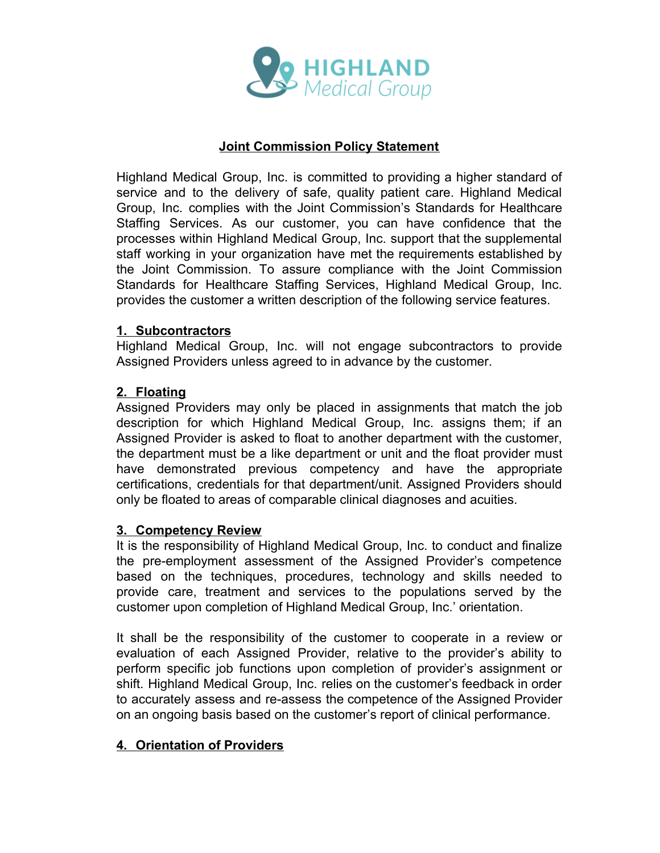

## **Joint Commission Policy Statement**

Highland Medical Group, Inc. is committed to providing a higher standard of service and to the delivery of safe, quality patient care. Highland Medical Group, Inc. complies with the Joint Commission's Standards for Healthcare Staffing Services. As our customer, you can have confidence that the processes within Highland Medical Group, Inc. support that the supplemental staff working in your organization have met the requirements established by the Joint Commission. To assure compliance with the Joint Commission Standards for Healthcare Staffing Services, Highland Medical Group, Inc. provides the customer a written description of the following service features.

## **1. Subcontractors**

Highland Medical Group, Inc. will not engage subcontractors to provide Assigned Providers unless agreed to in advance by the customer.

## **2. Floating**

Assigned Providers may only be placed in assignments that match the job description for which Highland Medical Group, Inc. assigns them; if an Assigned Provider is asked to float to another department with the customer, the department must be a like department or unit and the float provider must have demonstrated previous competency and have the appropriate certifications, credentials for that department/unit. Assigned Providers should only be floated to areas of comparable clinical diagnoses and acuities.

## **3. Competency Review**

It is the responsibility of Highland Medical Group, Inc. to conduct and finalize the pre-employment assessment of the Assigned Provider's competence based on the techniques, procedures, technology and skills needed to provide care, treatment and services to the populations served by the customer upon completion of Highland Medical Group, Inc.' orientation.

It shall be the responsibility of the customer to cooperate in a review or evaluation of each Assigned Provider, relative to the provider's ability to perform specific job functions upon completion of provider's assignment or shift. Highland Medical Group, Inc. relies on the customer's feedback in order to accurately assess and re-assess the competence of the Assigned Provider on an ongoing basis based on the customer's report of clinical performance.

# **4. Orientation of Providers**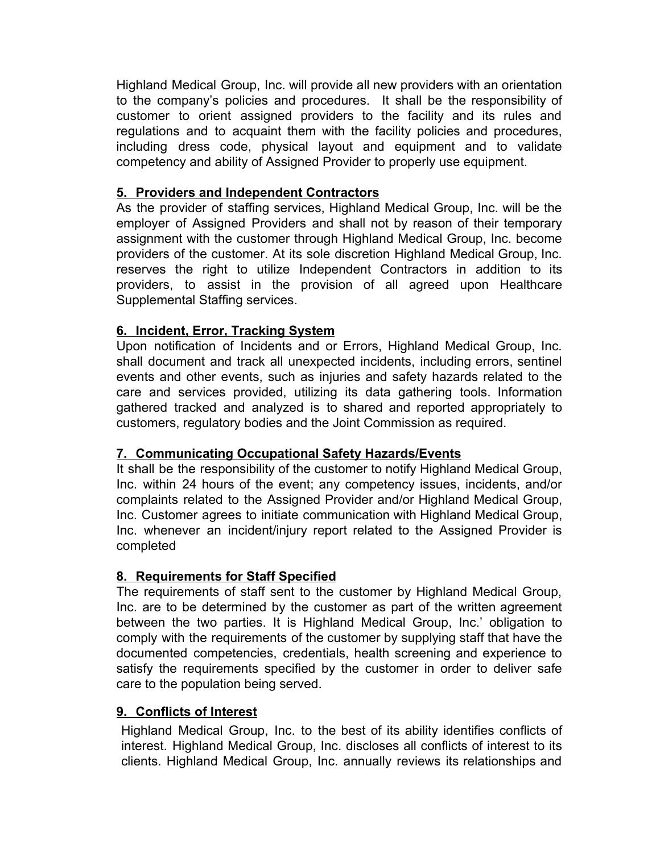Highland Medical Group, Inc. will provide all new providers with an orientation to the company's policies and procedures. It shall be the responsibility of customer to orient assigned providers to the facility and its rules and regulations and to acquaint them with the facility policies and procedures, including dress code, physical layout and equipment and to validate competency and ability of Assigned Provider to properly use equipment.

## **5. Providers and Independent Contractors**

As the provider of staffing services, Highland Medical Group, Inc. will be the employer of Assigned Providers and shall not by reason of their temporary assignment with the customer through Highland Medical Group, Inc. become providers of the customer. At its sole discretion Highland Medical Group, Inc. reserves the right to utilize Independent Contractors in addition to its providers, to assist in the provision of all agreed upon Healthcare Supplemental Staffing services.

# **6. Incident, Error, Tracking System**

Upon notification of Incidents and or Errors, Highland Medical Group, Inc. shall document and track all unexpected incidents, including errors, sentinel events and other events, such as injuries and safety hazards related to the care and services provided, utilizing its data gathering tools. Information gathered tracked and analyzed is to shared and reported appropriately to customers, regulatory bodies and the Joint Commission as required.

# **7. Communicating Occupational Safety Hazards/Events**

It shall be the responsibility of the customer to notify Highland Medical Group, Inc. within 24 hours of the event; any competency issues, incidents, and/or complaints related to the Assigned Provider and/or Highland Medical Group, Inc. Customer agrees to initiate communication with Highland Medical Group, Inc. whenever an incident/injury report related to the Assigned Provider is completed

## **8. Requirements for Staff Specified**

The requirements of staff sent to the customer by Highland Medical Group, Inc. are to be determined by the customer as part of the written agreement between the two parties. It is Highland Medical Group, Inc.' obligation to comply with the requirements of the customer by supplying staff that have the documented competencies, credentials, health screening and experience to satisfy the requirements specified by the customer in order to deliver safe care to the population being served.

## **9. Conflicts of Interest**

Highland Medical Group, Inc. to the best of its ability identifies conflicts of interest. Highland Medical Group, Inc. discloses all conflicts of interest to its clients. Highland Medical Group, Inc. annually reviews its relationships and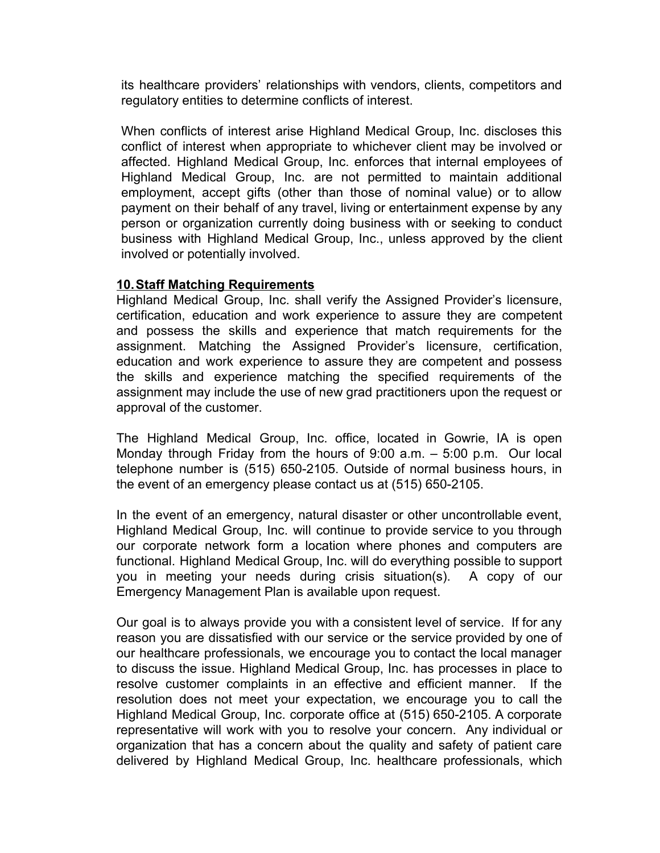its healthcare providers' relationships with vendors, clients, competitors and regulatory entities to determine conflicts of interest.

When conflicts of interest arise Highland Medical Group, Inc. discloses this conflict of interest when appropriate to whichever client may be involved or affected. Highland Medical Group, Inc. enforces that internal employees of Highland Medical Group, Inc. are not permitted to maintain additional employment, accept gifts (other than those of nominal value) or to allow payment on their behalf of any travel, living or entertainment expense by any person or organization currently doing business with or seeking to conduct business with Highland Medical Group, Inc., unless approved by the client involved or potentially involved.

#### **10.Staff Matching Requirements**

Highland Medical Group, Inc. shall verify the Assigned Provider's licensure, certification, education and work experience to assure they are competent and possess the skills and experience that match requirements for the assignment. Matching the Assigned Provider's licensure, certification, education and work experience to assure they are competent and possess the skills and experience matching the specified requirements of the assignment may include the use of new grad practitioners upon the request or approval of the customer.

The Highland Medical Group, Inc. office, located in Gowrie, IA is open Monday through Friday from the hours of 9:00 a.m. – 5:00 p.m. Our local telephone number is (515) 650-2105. Outside of normal business hours, in the event of an emergency please contact us at (515) 650-2105.

In the event of an emergency, natural disaster or other uncontrollable event, Highland Medical Group, Inc. will continue to provide service to you through our corporate network form a location where phones and computers are functional. Highland Medical Group, Inc. will do everything possible to support you in meeting your needs during crisis situation(s). A copy of our Emergency Management Plan is available upon request.

Our goal is to always provide you with a consistent level of service. If for any reason you are dissatisfied with our service or the service provided by one of our healthcare professionals, we encourage you to contact the local manager to discuss the issue. Highland Medical Group, Inc. has processes in place to resolve customer complaints in an effective and efficient manner. If the resolution does not meet your expectation, we encourage you to call the Highland Medical Group, Inc. corporate office at (515) 650-2105. A corporate representative will work with you to resolve your concern. Any individual or organization that has a concern about the quality and safety of patient care delivered by Highland Medical Group, Inc. healthcare professionals, which